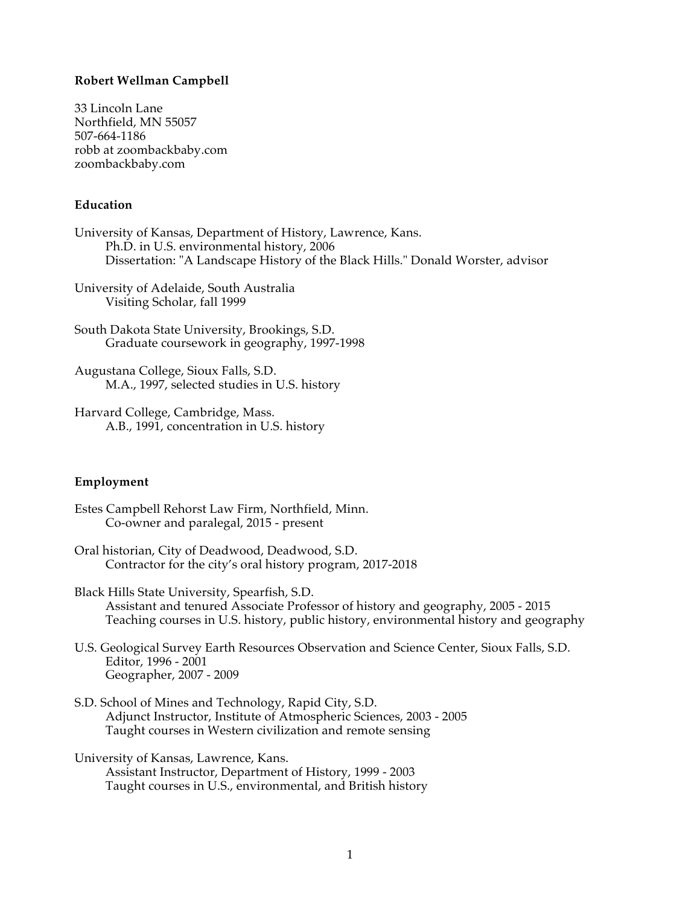#### **Robert Wellman Campbell**

33 Lincoln Lane Northfield, MN 55057 507-664-1186 robb at zoombackbaby.com zoombackbaby.com

#### **Education**

University of Kansas, Department of History, Lawrence, Kans. Ph.D. in U.S. environmental history, 2006 Dissertation: "A Landscape History of the Black Hills." Donald Worster, advisor

University of Adelaide, South Australia Visiting Scholar, fall 1999

South Dakota State University, Brookings, S.D. Graduate coursework in geography, 1997-1998

Augustana College, Sioux Falls, S.D. M.A., 1997, selected studies in U.S. history

Harvard College, Cambridge, Mass. A.B., 1991, concentration in U.S. history

#### **Employment**

Estes Campbell Rehorst Law Firm, Northfield, Minn. Co-owner and paralegal, 2015 - present

Oral historian, City of Deadwood, Deadwood, S.D. Contractor for the city's oral history program, 2017-2018

Black Hills State University, Spearfish, S.D. Assistant and tenured Associate Professor of history and geography, 2005 - 2015 Teaching courses in U.S. history, public history, environmental history and geography

U.S. Geological Survey Earth Resources Observation and Science Center, Sioux Falls, S.D. Editor, 1996 - 2001 Geographer, 2007 - 2009

S.D. School of Mines and Technology, Rapid City, S.D. Adjunct Instructor, Institute of Atmospheric Sciences, 2003 - 2005 Taught courses in Western civilization and remote sensing

University of Kansas, Lawrence, Kans. Assistant Instructor, Department of History, 1999 - 2003 Taught courses in U.S., environmental, and British history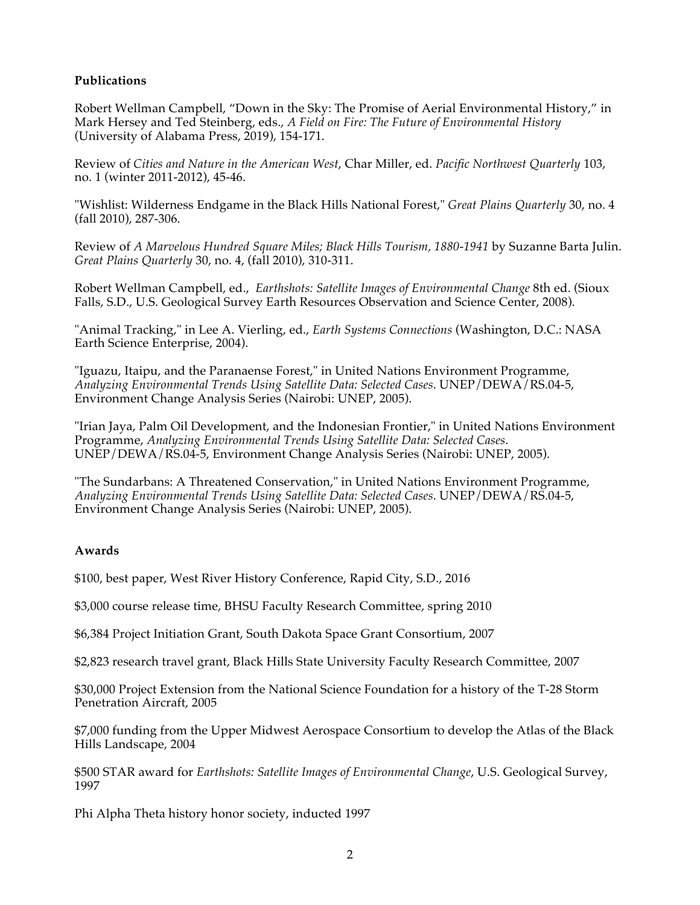## **Publications**

Robert Wellman Campbell, "Down in the Sky: The Promise of Aerial Environmental History," in Mark Hersey and Ted Steinberg, eds., *A Field on Fire: The Future of Environmental History* (University of Alabama Press, 2019), 154-171.

Review of *Cities and Nature in the American West*, Char Miller, ed. *Pacific Northwest Quarterly* 103, no. 1 (winter 2011-2012), 45-46.

"Wishlist: Wilderness Endgame in the Black Hills National Forest," *Great Plains Quarterly* 30, no. 4 (fall 2010), 287-306.

Review of *A Marvelous Hundred Square Miles; Black Hills Tourism, 1880-1941* by Suzanne Barta Julin. *Great Plains Quarterly* 30, no. 4, (fall 2010), 310-311.

Robert Wellman Campbell, ed., *Earthshots: Satellite Images of Environmental Change* 8th ed. (Sioux Falls, S.D., U.S. Geological Survey Earth Resources Observation and Science Center, 2008).

"Animal Tracking," in Lee A. Vierling, ed., *Earth Systems Connections* (Washington, D.C.: NASA Earth Science Enterprise, 2004).

"Iguazu, Itaipu, and the Paranaense Forest," in United Nations Environment Programme, *Analyzing Environmental Trends Using Satellite Data: Selected Cases*. UNEP/DEWA/RS.04-5, Environment Change Analysis Series (Nairobi: UNEP, 2005).

"Irian Jaya, Palm Oil Development, and the Indonesian Frontier," in United Nations Environment Programme, *Analyzing Environmental Trends Using Satellite Data: Selected Cases*. UNEP/DEWA/RS.04-5, Environment Change Analysis Series (Nairobi: UNEP, 2005).

"The Sundarbans: A Threatened Conservation," in United Nations Environment Programme, *Analyzing Environmental Trends Using Satellite Data: Selected Cases*. UNEP/DEWA/RS.04-5, Environment Change Analysis Series (Nairobi: UNEP, 2005).

## **Awards**

\$100, best paper, West River History Conference, Rapid City, S.D., 2016

\$3,000 course release time, BHSU Faculty Research Committee, spring 2010

\$6,384 Project Initiation Grant, South Dakota Space Grant Consortium, 2007

\$2,823 research travel grant, Black Hills State University Faculty Research Committee, 2007

\$30,000 Project Extension from the National Science Foundation for a history of the T-28 Storm Penetration Aircraft, 2005

\$7,000 funding from the Upper Midwest Aerospace Consortium to develop the Atlas of the Black Hills Landscape, 2004

\$500 STAR award for *Earthshots: Satellite Images of Environmental Change*, U.S. Geological Survey, 1997

Phi Alpha Theta history honor society, inducted 1997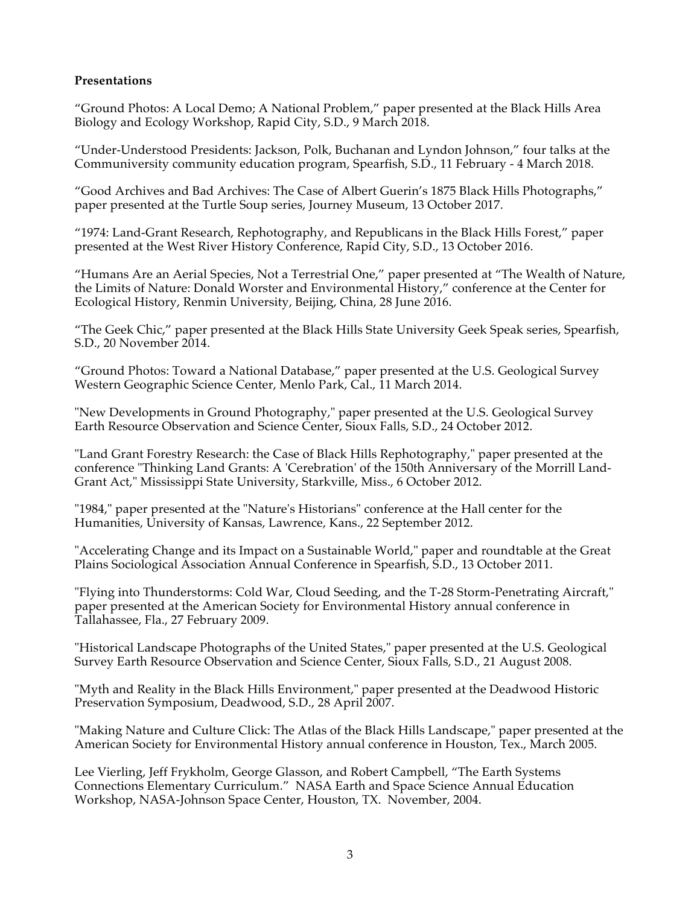## **Presentations**

"Ground Photos: A Local Demo; A National Problem," paper presented at the Black Hills Area Biology and Ecology Workshop, Rapid City, S.D., 9 March 2018.

"Under-Understood Presidents: Jackson, Polk, Buchanan and Lyndon Johnson," four talks at the Communiversity community education program, Spearfish, S.D., 11 February - 4 March 2018.

"Good Archives and Bad Archives: The Case of Albert Guerin's 1875 Black Hills Photographs," paper presented at the Turtle Soup series, Journey Museum, 13 October 2017.

"1974: Land-Grant Research, Rephotography, and Republicans in the Black Hills Forest," paper presented at the West River History Conference, Rapid City, S.D., 13 October 2016.

"Humans Are an Aerial Species, Not a Terrestrial One," paper presented at "The Wealth of Nature, the Limits of Nature: Donald Worster and Environmental History," conference at the Center for Ecological History, Renmin University, Beijing, China, 28 June 2016.

"The Geek Chic," paper presented at the Black Hills State University Geek Speak series, Spearfish, S.D., 20 November 2014.

"Ground Photos: Toward a National Database," paper presented at the U.S. Geological Survey Western Geographic Science Center, Menlo Park, Cal., 11 March 2014.

"New Developments in Ground Photography," paper presented at the U.S. Geological Survey Earth Resource Observation and Science Center, Sioux Falls, S.D., 24 October 2012.

"Land Grant Forestry Research: the Case of Black Hills Rephotography," paper presented at the conference "Thinking Land Grants: A 'Cerebration' of the 150th Anniversary of the Morrill Land-Grant Act," Mississippi State University, Starkville, Miss., 6 October 2012.

"1984," paper presented at the "Nature's Historians" conference at the Hall center for the Humanities, University of Kansas, Lawrence, Kans., 22 September 2012.

"Accelerating Change and its Impact on a Sustainable World," paper and roundtable at the Great Plains Sociological Association Annual Conference in Spearfish, S.D., 13 October 2011.

"Flying into Thunderstorms: Cold War, Cloud Seeding, and the T-28 Storm-Penetrating Aircraft," paper presented at the American Society for Environmental History annual conference in Tallahassee, Fla., 27 February 2009.

"Historical Landscape Photographs of the United States," paper presented at the U.S. Geological Survey Earth Resource Observation and Science Center, Sioux Falls, S.D., 21 August 2008.

"Myth and Reality in the Black Hills Environment," paper presented at the Deadwood Historic Preservation Symposium, Deadwood, S.D., 28 April 2007.

"Making Nature and Culture Click: The Atlas of the Black Hills Landscape," paper presented at the American Society for Environmental History annual conference in Houston, Tex., March 2005.

Lee Vierling, Jeff Frykholm, George Glasson, and Robert Campbell, "The Earth Systems Connections Elementary Curriculum." NASA Earth and Space Science Annual Education Workshop, NASA-Johnson Space Center, Houston, TX. November, 2004.